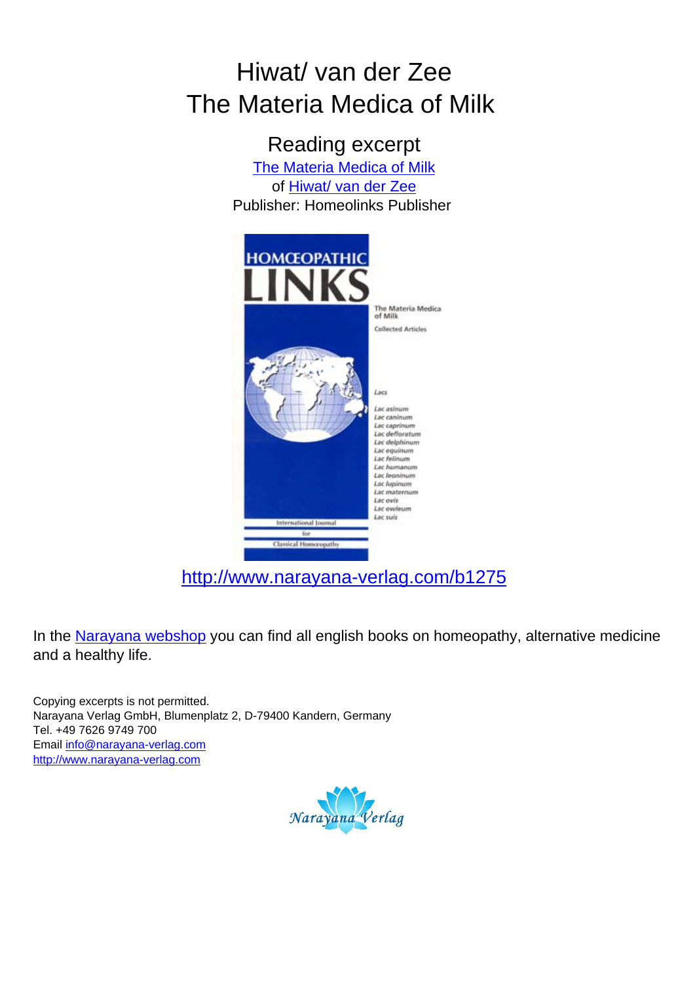## Hiwat/ van der Zee The Materia Medica of Milk

Reading excerpt [The Materia Medica of Milk](http://www.narayana-verlag.com/The-Materia-Medica-of-Milk-Corrie-Hiwat-Harry-van-der-Zee/b1275/partner/leseprobe) of [Hiwat/ van der Zee](http://www.narayana-verlag.com/Hiwat-van-der-Zee/a374/partner/leseprobe) Publisher: Homeolinks Publisher



[http://www.narayana-verlag.com/b1275](http://www.narayana-verlag.com/The-Materia-Medica-of-Milk-Corrie-Hiwat-Harry-van-der-Zee/b1275/partner/leseprobe)

In the [Narayana webshop](http://www.narayana-verlag.com/partner/leseprobe) you can find all english books on homeopathy, alternative medicine and a healthy life.

Copying excerpts is not permitted. Narayana Verlag GmbH, Blumenplatz 2, D-79400 Kandern, Germany Tel. +49 7626 9749 700 Email [info@narayana-verlag.com](mailto:info@narayana-verlag.com) [http://www.narayana-verlag.com](http://www.narayana-verlag.com/partner/leseprobe)

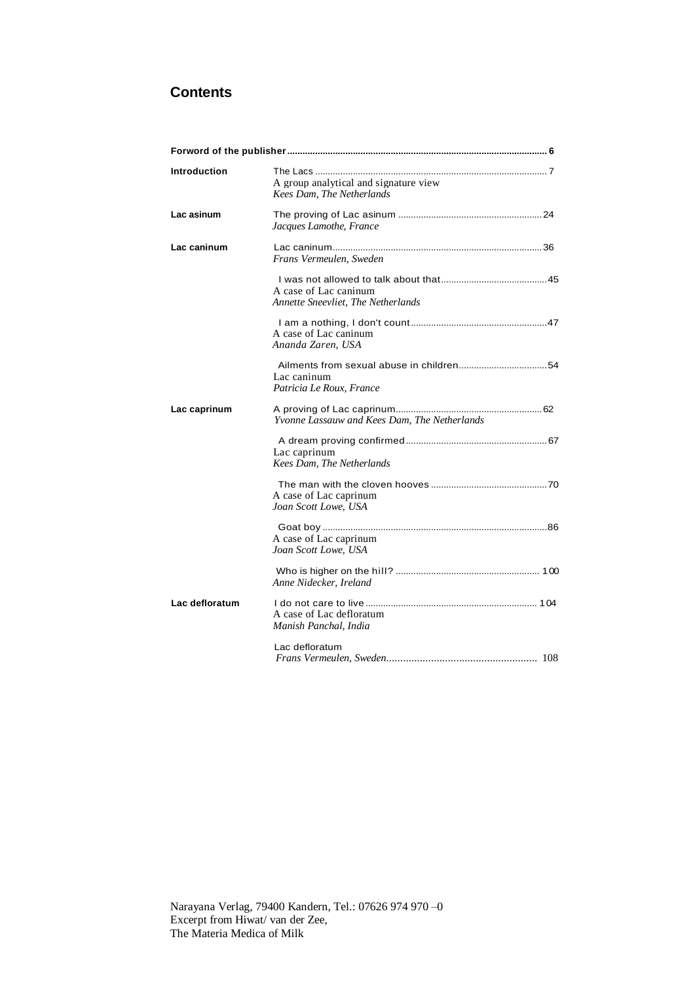## **Contents**

| <b>Introduction</b> | A group analytical and signature view<br>Kees Dam, The Netherlands |
|---------------------|--------------------------------------------------------------------|
| Lac asinum          | Jacques Lamothe, France                                            |
| Lac caninum         | Frans Vermeulen, Sweden                                            |
|                     | A case of Lac caninum<br>Annette Sneevliet. The Netherlands        |
|                     | A case of Lac caninum<br>Ananda Zaren, USA                         |
|                     | Lac caninum<br>Patricia Le Roux, France                            |
| Lac caprinum        | <i>Yvonne Lassauw and Kees Dam. The Netherlands</i>                |
|                     | Lac caprinum<br>Kees Dam, The Netherlands                          |
|                     | A case of Lac caprinum<br>Joan Scott Lowe, USA                     |
|                     | A case of Lac caprinum<br>Joan Scott Lowe, USA                     |
|                     | Anne Nidecker, Ireland                                             |
| Lac defloratum      | A case of Lac defloratum<br>Manish Panchal, India                  |
|                     | Lac defloratum                                                     |

Narayana Verlag, 79400 Kandern, Tel.: 07626 974 970 –0 Excerpt from Hiwat/ van der Zee, The Materia Medica of Milk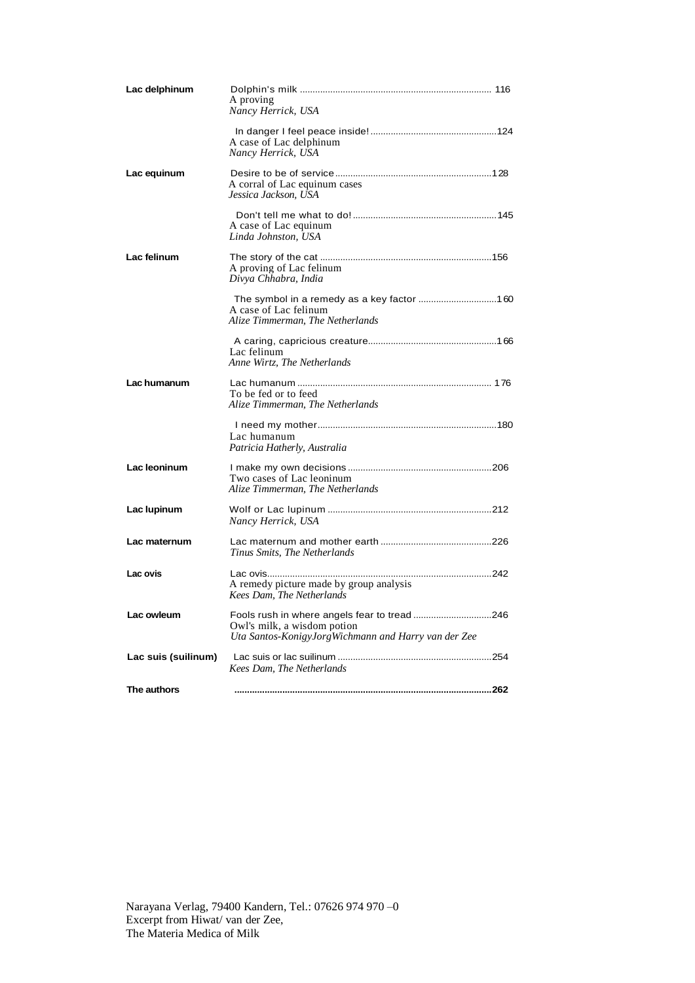| Lac delphinum       | A proving<br>Nancy Herrick, USA                                                                                                    |
|---------------------|------------------------------------------------------------------------------------------------------------------------------------|
|                     | A case of Lac delphinum<br>Nancy Herrick, USA                                                                                      |
| Lac equinum         | A corral of Lac equinum cases<br>Jessica Jackson, USA                                                                              |
|                     | A case of Lac equinum<br>Linda Johnston, USA                                                                                       |
| Lac felinum         | A proving of Lac felinum<br>Divya Chhabra, India                                                                                   |
|                     | A case of Lac felinum<br>Alize Timmerman, The Netherlands                                                                          |
|                     | Lac felinum<br>Anne Wirtz, The Netherlands                                                                                         |
| Lac humanum         | To be fed or to feed<br>Alize Timmerman, The Netherlands                                                                           |
|                     | Lac humanum<br>Patricia Hatherly, Australia                                                                                        |
| Lac leoninum        | Two cases of Lac leoninum<br>Alize Timmerman, The Netherlands                                                                      |
| Lac lupinum         | Nancy Herrick, USA                                                                                                                 |
| Lac maternum        | Tinus Smits, The Netherlands                                                                                                       |
| Lac ovis            | A remedy picture made by group analysis<br>Kees Dam. The Netherlands                                                               |
| Lac owleum          | Fools rush in where angels fear to tread 246<br>Owl's milk, a wisdom potion<br>Uta Santos-KonigyJorgWichmann and Harry van der Zee |
| Lac suis (suilinum) | Kees Dam. The Netherlands                                                                                                          |
| The authors         |                                                                                                                                    |